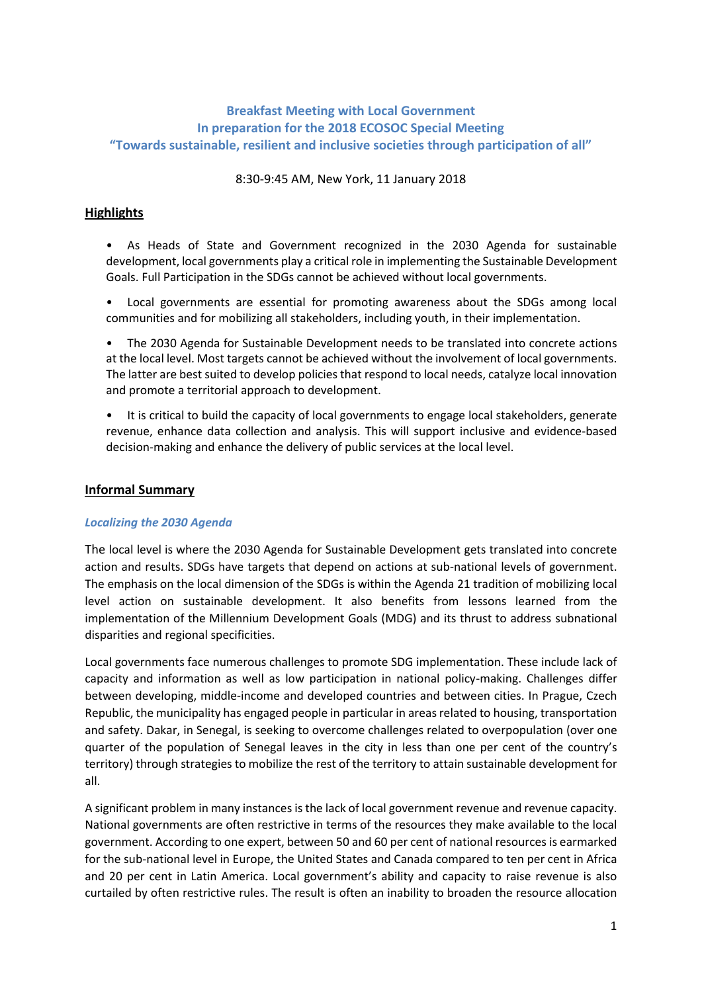# **Breakfast Meeting with Local Government In preparation for the 2018 ECOSOC Special Meeting "Towards sustainable, resilient and inclusive societies through participation of all"**

8:30-9:45 AM, New York, 11 January 2018

## **Highlights**

• As Heads of State and Government recognized in the 2030 Agenda for sustainable development, local governments play a critical role in implementing the Sustainable Development Goals. Full Participation in the SDGs cannot be achieved without local governments.

• Local governments are essential for promoting awareness about the SDGs among local communities and for mobilizing all stakeholders, including youth, in their implementation.

• The 2030 Agenda for Sustainable Development needs to be translated into concrete actions at the local level. Most targets cannot be achieved without the involvement of local governments. The latter are best suited to develop policies that respond to local needs, catalyze local innovation and promote a territorial approach to development.

It is critical to build the capacity of local governments to engage local stakeholders, generate revenue, enhance data collection and analysis. This will support inclusive and evidence-based decision-making and enhance the delivery of public services at the local level.

### **Informal Summary**

### *Localizing the 2030 Agenda*

The local level is where the 2030 Agenda for Sustainable Development gets translated into concrete action and results. SDGs have targets that depend on actions at sub-national levels of government. The emphasis on the local dimension of the SDGs is within the Agenda 21 tradition of mobilizing local level action on sustainable development. It also benefits from lessons learned from the implementation of the Millennium Development Goals (MDG) and its thrust to address subnational disparities and regional specificities.

Local governments face numerous challenges to promote SDG implementation. These include lack of capacity and information as well as low participation in national policy-making. Challenges differ between developing, middle-income and developed countries and between cities. In Prague, Czech Republic, the municipality has engaged people in particular in areas related to housing, transportation and safety. Dakar, in Senegal, is seeking to overcome challenges related to overpopulation (over one quarter of the population of Senegal leaves in the city in less than one per cent of the country's territory) through strategies to mobilize the rest of the territory to attain sustainable development for all.

A significant problem in many instances is the lack of local government revenue and revenue capacity. National governments are often restrictive in terms of the resources they make available to the local government. According to one expert, between 50 and 60 per cent of national resources is earmarked for the sub-national level in Europe, the United States and Canada compared to ten per cent in Africa and 20 per cent in Latin America. Local government's ability and capacity to raise revenue is also curtailed by often restrictive rules. The result is often an inability to broaden the resource allocation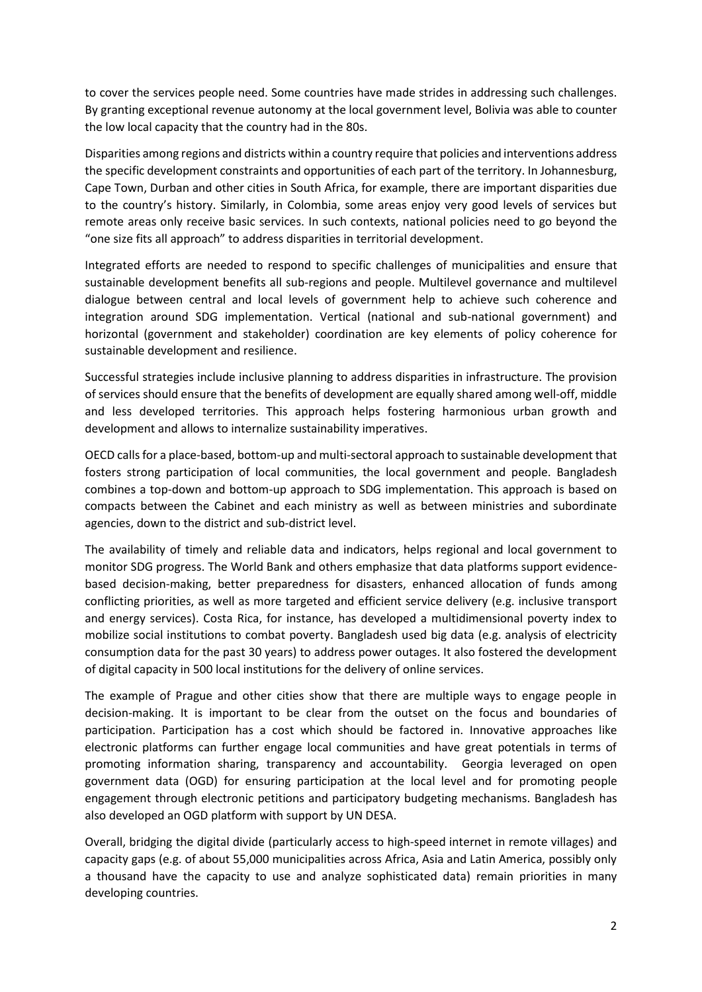to cover the services people need. Some countries have made strides in addressing such challenges. By granting exceptional revenue autonomy at the local government level, Bolivia was able to counter the low local capacity that the country had in the 80s.

Disparities among regions and districts within a country require that policies and interventions address the specific development constraints and opportunities of each part of the territory. In Johannesburg, Cape Town, Durban and other cities in South Africa, for example, there are important disparities due to the country's history. Similarly, in Colombia, some areas enjoy very good levels of services but remote areas only receive basic services. In such contexts, national policies need to go beyond the "one size fits all approach" to address disparities in territorial development.

Integrated efforts are needed to respond to specific challenges of municipalities and ensure that sustainable development benefits all sub-regions and people. Multilevel governance and multilevel dialogue between central and local levels of government help to achieve such coherence and integration around SDG implementation. Vertical (national and sub-national government) and horizontal (government and stakeholder) coordination are key elements of policy coherence for sustainable development and resilience.

Successful strategies include inclusive planning to address disparities in infrastructure. The provision of services should ensure that the benefits of development are equally shared among well-off, middle and less developed territories. This approach helps fostering harmonious urban growth and development and allows to internalize sustainability imperatives.

OECD calls for a place-based, bottom-up and multi-sectoral approach to sustainable development that fosters strong participation of local communities, the local government and people. Bangladesh combines a top-down and bottom-up approach to SDG implementation. This approach is based on compacts between the Cabinet and each ministry as well as between ministries and subordinate agencies, down to the district and sub-district level.

The availability of timely and reliable data and indicators, helps regional and local government to monitor SDG progress. The World Bank and others emphasize that data platforms support evidencebased decision-making, better preparedness for disasters, enhanced allocation of funds among conflicting priorities, as well as more targeted and efficient service delivery (e.g. inclusive transport and energy services). Costa Rica, for instance, has developed a multidimensional poverty index to mobilize social institutions to combat poverty. Bangladesh used big data (e.g. analysis of electricity consumption data for the past 30 years) to address power outages. It also fostered the development of digital capacity in 500 local institutions for the delivery of online services.

The example of Prague and other cities show that there are multiple ways to engage people in decision-making. It is important to be clear from the outset on the focus and boundaries of participation. Participation has a cost which should be factored in. Innovative approaches like electronic platforms can further engage local communities and have great potentials in terms of promoting information sharing, transparency and accountability. Georgia leveraged on open government data (OGD) for ensuring participation at the local level and for promoting people engagement through electronic petitions and participatory budgeting mechanisms. Bangladesh has also developed an OGD platform with support by UN DESA.

Overall, bridging the digital divide (particularly access to high-speed internet in remote villages) and capacity gaps (e.g. of about 55,000 municipalities across Africa, Asia and Latin America, possibly only a thousand have the capacity to use and analyze sophisticated data) remain priorities in many developing countries.